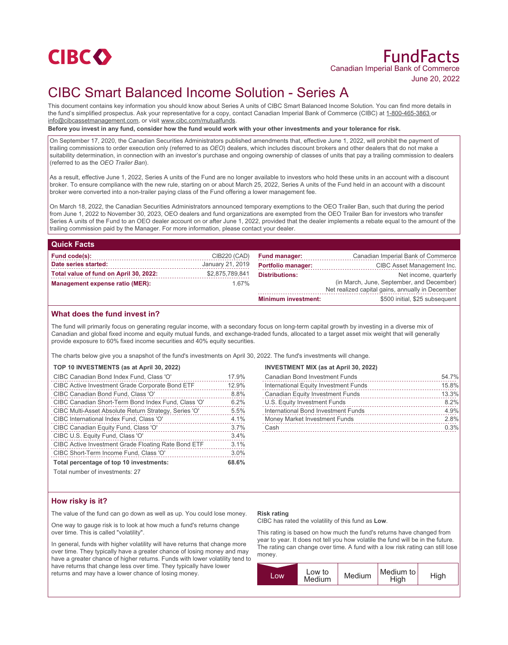

# CIBC Smart Balanced Income Solution - Series A

This document contains key information you should know about Series A units of CIBC Smart Balanced Income Solution. You can find more details in the fund's simplified prospectus. Ask your representative for a copy, contact Canadian Imperial Bank of Commerce (CIBC) at 1-800-465-3863 or info@cibcassetmanagement.com, or visit www.cibc.com/mutualfunds.

**Before you invest in any fund, consider how the fund would work with your other investments and your tolerance for risk.**

On September 17, 2020, the Canadian Securities Administrators published amendments that, effective June 1, 2022, will prohibit the payment of trailing commissions to order execution only (referred to as *OEO*) dealers, which includes discount brokers and other dealers that do not make a suitability determination, in connection with an investor's purchase and ongoing ownership of classes of units that pay a trailing commission to dealers (referred to as the *OEO Trailer Ban*).

As a result, effective June 1, 2022, Series A units of the Fund are no longer available to investors who hold these units in an account with a discount broker. To ensure compliance with the new rule, starting on or about March 25, 2022, Series A units of the Fund held in an account with a discount broker were converted into a non-trailer paying class of the Fund offering a lower management fee.

On March 18, 2022, the Canadian Securities Administrators announced temporary exemptions to the OEO Trailer Ban, such that during the period from June 1, 2022 to November 30, 2023, OEO dealers and fund organizations are exempted from the OEO Trailer Ban for investors who transfer Series A units of the Fund to an OEO dealer account on or after June 1, 2022, provided that the dealer implements a rebate equal to the amount of the trailing commission paid by the Manager. For more information, please contact your dealer.

| <b>Quick Facts</b>                     |                  |                            |                                                                                               |
|----------------------------------------|------------------|----------------------------|-----------------------------------------------------------------------------------------------|
| Fund code(s):                          | CIB220 (CAD)     | <b>Fund manager:</b>       | Canadian Imperial Bank of Commerce                                                            |
| Date series started:                   | January 21, 2019 | <b>Portfolio manager:</b>  | CIBC Asset Management Inc.                                                                    |
| Total value of fund on April 30, 2022: | \$2,875,789,841  | <b>Distributions:</b>      | Net income, quarterly                                                                         |
| Management expense ratio (MER):        | 1.67%            |                            | (in March, June, September, and December)<br>Net realized capital gains, annually in December |
|                                        |                  | <b>Minimum investment:</b> | \$500 initial, \$25 subsequent                                                                |

# **What does the fund invest in?**

The fund will primarily focus on generating regular income, with a secondary focus on long-term capital growth by investing in a diverse mix of Canadian and global fixed income and equity mutual funds, and exchange-traded funds, allocated to a target asset mix weight that will generally provide exposure to 60% fixed income securities and 40% equity securities.

The charts below give you a snapshot of the fund's investments on April 30, 2022. The fund's investments will change.

|  | TOP 10 INVESTMENTS (as at April 30, 2022) |  |  |
|--|-------------------------------------------|--|--|
|--|-------------------------------------------|--|--|

| CIBC Canadian Bond Index Fund, Class 'O'               | 17.9% |
|--------------------------------------------------------|-------|
| <b>CIBC Active Investment Grade Corporate Bond ETF</b> | 12.9% |
| CIBC Canadian Bond Fund, Class 'O'                     | 8.8%  |
| CIBC Canadian Short-Term Bond Index Fund, Class 'O'    | 6.2%  |
| CIBC Multi-Asset Absolute Return Strategy, Series 'O'  | 5.5%  |
| CIBC International Index Fund, Class 'O'               | 4.1%  |
| CIBC Canadian Equity Fund, Class 'O'                   | 3.7%  |
| CIBC U.S. Equity Fund, Class 'O'                       | 3.4%  |
| CIBC Active Investment Grade Floating Rate Bond ETF    | 3.1%  |
| CIBC Short-Term Income Fund, Class 'O'                 | 3.0%  |
| Total percentage of top 10 investments:                | 68.6% |

Total number of investments: 27

#### **INVESTMENT MIX (as at April 30, 2022)**

| <b>Canadian Bond Investment Funds</b>   | 54.7% |
|-----------------------------------------|-------|
| International Equity Investment Funds   | 15.8% |
| <b>Canadian Equity Investment Funds</b> | 13.3% |
| U.S. Equity Investment Funds            | 8.2%  |
| International Bond Investment Funds     | 4.9%  |
| Money Market Investment Funds           | 2.8%  |
| Cash                                    | 0.3%  |
|                                         |       |

# **How risky is it?**

The value of the fund can go down as well as up. You could lose money.

One way to gauge risk is to look at how much a fund's returns change over time. This is called "volatility".

In general, funds with higher volatility will have returns that change more over time. They typically have a greater chance of losing money and may have a greater chance of higher returns. Funds with lower volatility tend to have returns that change less over time. They typically have lower returns and may have a lower chance of losing money.

### **Risk rating**

CIBC has rated the volatility of this fund as **Low**.

This rating is based on how much the fund's returns have changed from year to year. It does not tell you how volatile the fund will be in the future. The rating can change over time. A fund with a low risk rating can still lose money.

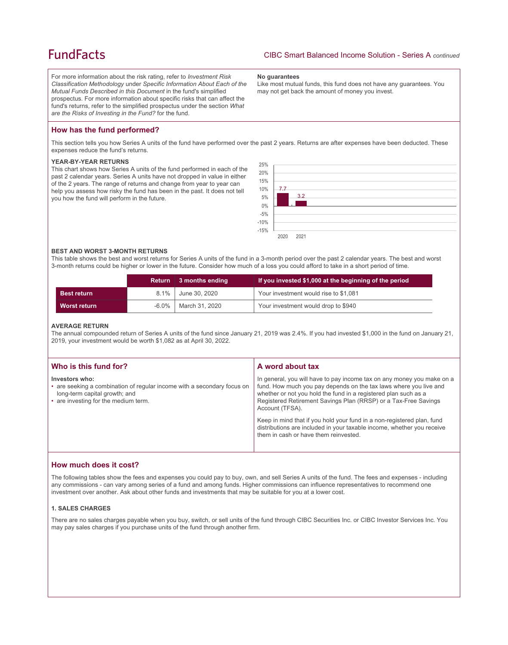# **FundFacts**

For more information about the risk rating, refer to *Investment Risk Classification Methodology* under *Specific Information About Each of the Mutual Funds Described in this Document* in the fund's simplified prospectus. For more information about specific risks that can affect the fund's returns, refer to the simplified prospectus under the section *What are the Risks of Investing in the Fund?* for the fund.

#### **No guarantees**

Like most mutual funds, this fund does not have any guarantees. You may not get back the amount of money you invest.

# **How has the fund performed?**

This section tells you how Series A units of the fund have performed over the past 2 years. Returns are after expenses have been deducted. These expenses reduce the fund's returns.

#### **YEAR-BY-YEAR RETURNS**

This chart shows how Series A units of the fund performed in each of the past 2 calendar years. Series A units have not dropped in value in either of the 2 years. The range of returns and change from year to year can help you assess how risky the fund has been in the past. It does not tell you how the fund will perform in the future.



#### **BEST AND WORST 3-MONTH RETURNS**

This table shows the best and worst returns for Series A units of the fund in a 3-month period over the past 2 calendar years. The best and worst 3-month returns could be higher or lower in the future. Consider how much of a loss you could afford to take in a short period of time.

|                     | <b>Return</b> | 3 months ending | If you invested \$1,000 at the beginning of the period |
|---------------------|---------------|-----------------|--------------------------------------------------------|
| <b>Best return</b>  | 8.1%          | June 30, 2020   | Your investment would rise to \$1,081                  |
| <b>Worst return</b> | $-6.0\%$      | March 31, 2020  | Your investment would drop to \$940                    |

#### **AVERAGE RETURN**

The annual compounded return of Series A units of the fund since January 21, 2019 was 2.4%. If you had invested \$1,000 in the fund on January 21, 2019, your investment would be worth \$1,082 as at April 30, 2022.

| Who is this fund for?                                                                                                                                              | A word about tax                                                                                                                                                                                                                                                                                     |
|--------------------------------------------------------------------------------------------------------------------------------------------------------------------|------------------------------------------------------------------------------------------------------------------------------------------------------------------------------------------------------------------------------------------------------------------------------------------------------|
| Investors who:<br>• are seeking a combination of regular income with a secondary focus on<br>long-term capital growth; and<br>• are investing for the medium term. | In general, you will have to pay income tax on any money you make on a<br>fund. How much you pay depends on the tax laws where you live and<br>whether or not you hold the fund in a registered plan such as a<br>Registered Retirement Savings Plan (RRSP) or a Tax-Free Savings<br>Account (TFSA). |
|                                                                                                                                                                    | Keep in mind that if you hold your fund in a non-registered plan, fund<br>distributions are included in your taxable income, whether you receive<br>them in cash or have them reinvested.                                                                                                            |

## **How much does it cost?**

The following tables show the fees and expenses you could pay to buy, own, and sell Series A units of the fund. The fees and expenses - including any commissions - can vary among series of a fund and among funds. Higher commissions can influence representatives to recommend one investment over another. Ask about other funds and investments that may be suitable for you at a lower cost.

### **1. SALES CHARGES**

There are no sales charges payable when you buy, switch, or sell units of the fund through CIBC Securities Inc. or CIBC Investor Services Inc. You may pay sales charges if you purchase units of the fund through another firm.